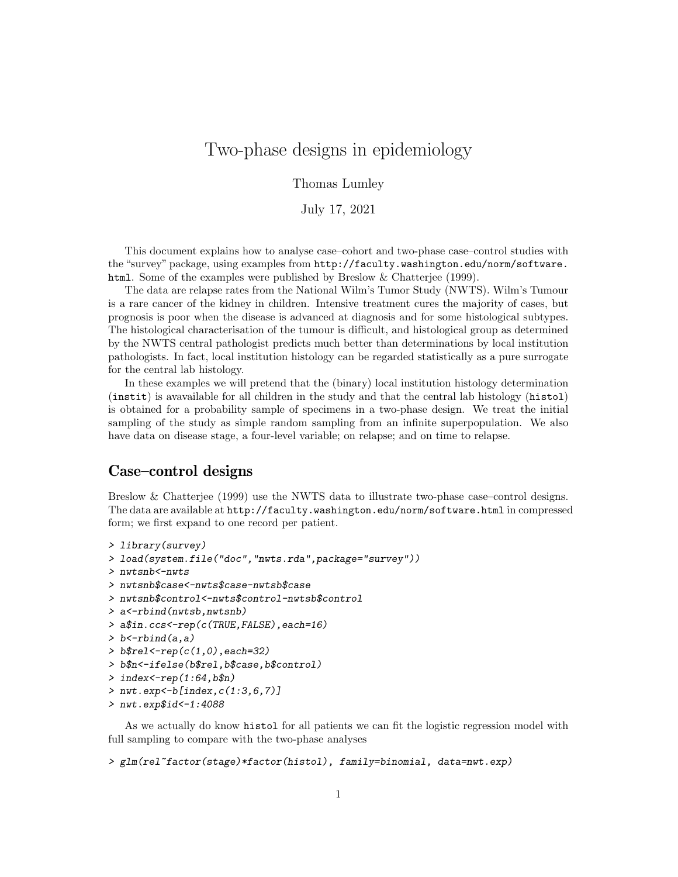# Two-phase designs in epidemiology

Thomas Lumley

July 17, 2021

This document explains how to analyse case–cohort and two-phase case–control studies with the "survey" package, using examples from http://faculty.washington.edu/norm/software. html. Some of the examples were published by Breslow & Chatterjee (1999).

The data are relapse rates from the National Wilm's Tumor Study (NWTS). Wilm's Tumour is a rare cancer of the kidney in children. Intensive treatment cures the majority of cases, but prognosis is poor when the disease is advanced at diagnosis and for some histological subtypes. The histological characterisation of the tumour is difficult, and histological group as determined by the NWTS central pathologist predicts much better than determinations by local institution pathologists. In fact, local institution histology can be regarded statistically as a pure surrogate for the central lab histology.

In these examples we will pretend that the (binary) local institution histology determination (instit) is avavailable for all children in the study and that the central lab histology (histol) is obtained for a probability sample of specimens in a two-phase design. We treat the initial sampling of the study as simple random sampling from an infinite superpopulation. We also have data on disease stage, a four-level variable; on relapse; and on time to relapse.

### Case–control designs

Breslow & Chatterjee (1999) use the NWTS data to illustrate two-phase case–control designs. The data are available at http://faculty.washington.edu/norm/software.html in compressed form; we first expand to one record per patient.

```
> library(survey)
> load(system.file("doc","nwts.rda",package="survey"))
> nwtsnb<-nwts
> nwtsnb$case<-nwts$case-nwtsb$case
> nwtsnb$control<-nwts$control-nwtsb$control
> a<-rbind(nwtsb,nwtsnb)
> a$in.ccs<-rep(c(TRUE,FALSE),each=16)
> b < -rbind(a, a)> b$rel < -rep(c(1,0), each = 32)> b$n<-ifelse(b$rel,b$case,b$control)
> index -rep(1:64, b\> nwt.exp < - b [index, c(1:3, 6, 7)]
> nwt.exp$id<-1:4088
```
As we actually do know histol for all patients we can fit the logistic regression model with full sampling to compare with the two-phase analyses

```
> glm(rel~factor(stage)*factor(histol), family=binomial, data=nwt.exp)
```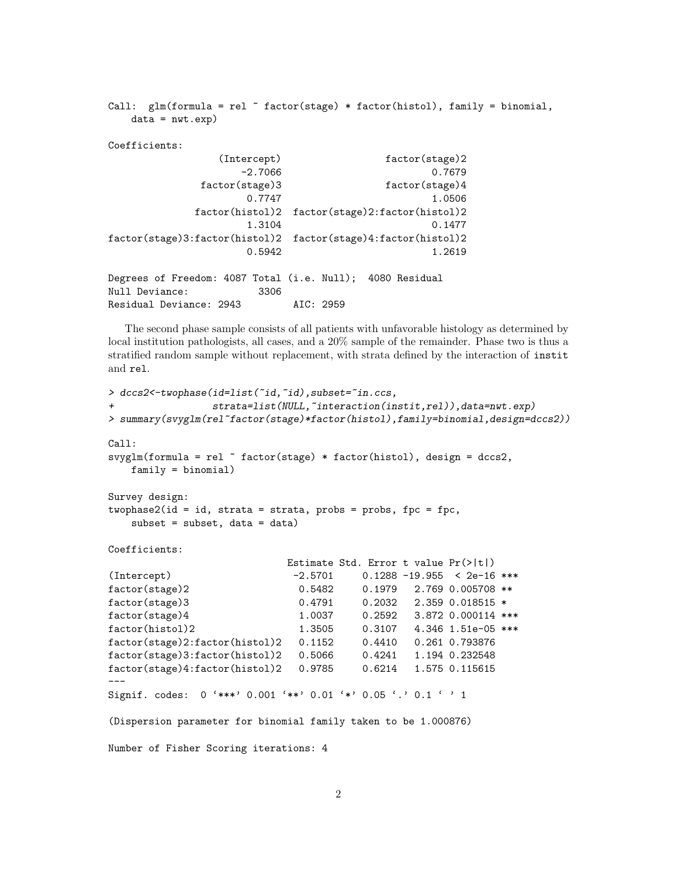```
Call: glm(formula = rel \tilde{r} factor(stage) * factor(histol), family = binomial,
   data = nwt.exp)Coefficients:
              (Intercept) factor(stage)2
                 -2.7066 0.7679
            factor(stage)3 factor(stage)4
                  0.7747 1.0506
           factor(histol)2 factor(stage)2:factor(histol)2
                  1.3104 0.1477
factor(stage)3:factor(histol)2 factor(stage)4:factor(histol)2
                  0.5942 1.2619
Degrees of Freedom: 4087 Total (i.e. Null); 4080 Residual
Null Deviance: 3306
Residual Deviance: 2943 AIC: 2959
```
The second phase sample consists of all patients with unfavorable histology as determined by local institution pathologists, all cases, and a 20% sample of the remainder. Phase two is thus a stratified random sample without replacement, with strata defined by the interaction of instit and rel.

```
> dccs2<-twophase(id=list(~id,~id),subset="in.ccs,
+ strata=list(NULL,~interaction(instit,rel)),data=nwt.exp)
> summary(svyglm(rel~factor(stage)*factor(histol),family=binomial,design=dccs2))
Call:
svyglm(formula = rel ~ factor(stage) * factor(histol), design = dccs2,
   family = binomial)
Survey design:
two phase2(id = id, strata = strata, probes = probes, fpc = fpc,subset = subset, data = data)
Coefficients:
                           Estimate Std. Error t value Pr(>|t|)
(Intercept) -2.5701 0.1288 -19.955 < 2e-16 ***
factor(stage)2 0.5482 0.1979 2.769 0.005708 **
factor(stage)3 0.4791 0.2032 2.359 0.018515 *
factor(stage)4 1.0037 0.2592 3.872 0.000114 ***
factor(histol)2 1.3505 0.3107 4.346 1.51e-05 ***
factor(stage)2:factor(histol)2 0.1152 0.4410 0.261 0.793876
factor(stage)3:factor(histol)2 0.5066 0.4241 1.194 0.232548
factor(stage)4:factor(histol)2 0.9785 0.6214 1.575 0.115615
---Signif. codes: 0 '***' 0.001 '**' 0.01 '*' 0.05 '.' 0.1 ' ' 1
(Dispersion parameter for binomial family taken to be 1.000876)
Number of Fisher Scoring iterations: 4
```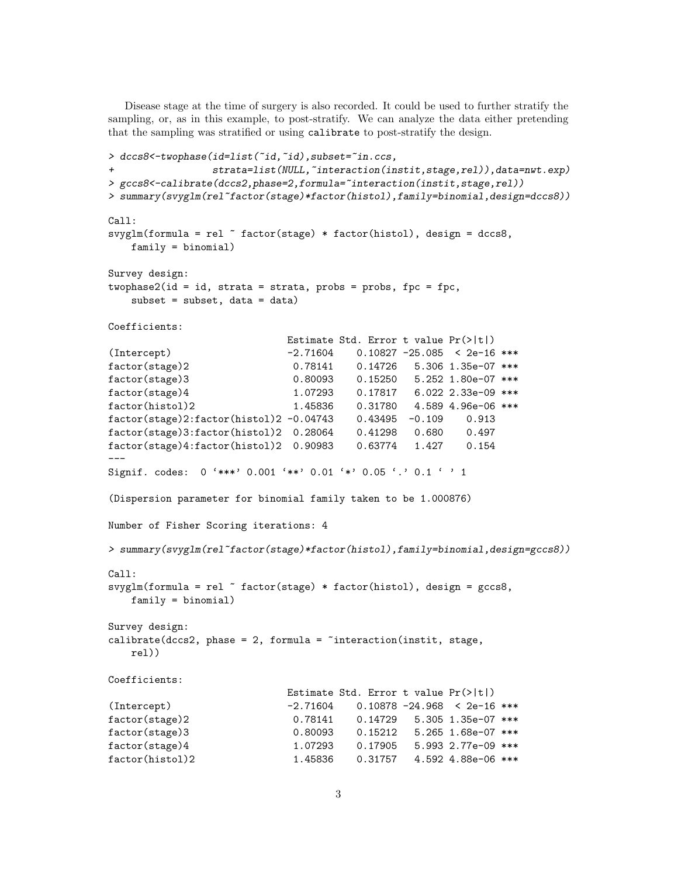Disease stage at the time of surgery is also recorded. It could be used to further stratify the sampling, or, as in this example, to post-stratify. We can analyze the data either pretending that the sampling was stratified or using calibrate to post-stratify the design.

```
> dccs8<-twophase(id=list(~id,~id),subset="in.ccs,
+ strata=list(NULL,~interaction(instit,stage,rel)),data=nwt.exp)
> gccs8<-calibrate(dccs2,phase=2,formula=~interaction(instit,stage,rel))
> summary(svyglm(rel~factor(stage)*factor(histol),family=binomial,design=dccs8))
Call:
svyglm(formula = rel \tilde{ } factor(stage) * factor(histol), design = dccs8,
   family = binomial)
Survey design:
two phase2(id = id, strata = strata, probes = probes, fpc = fpc,subset = subset, data = data)Coefficients:
                          Estimate Std. Error t value Pr(>|t|)
(Intercept) -2.71604 0.10827 -25.085 < 2e-16 ***
factor(stage)2 0.78141 0.14726 5.306 1.35e-07 ***
factor(stage)3 0.80093 0.15250 5.252 1.80e-07 ***
factor(stage)4 1.07293 0.17817 6.022 2.33e-09 ***
factor(histol)2 1.45836 0.31780 4.589 4.96e-06 ***
factor(stage)2:factor(histol)2 -0.04743 0.43495 -0.109 0.913
factor(stage)3:factor(histol)2 0.28064 0.41298 0.680 0.497
factor(stage)4:factor(histol)2 0.90983 0.63774 1.427 0.154
---
Signif. codes: 0 '***' 0.001 '**' 0.01 '*' 0.05 '.' 0.1 ' ' 1
(Dispersion parameter for binomial family taken to be 1.000876)
Number of Fisher Scoring iterations: 4
> summary(svyglm(rel~factor(stage)*factor(histol),family=binomial,design=gccs8))
Ca11:svyglm(formula = rel \tilde{ } factor(stage) * factor(histol), design = gccs8,
   family = binomial)
Survey design:
calinteraction(int, stage,rel))
Coefficients:
                          Estimate Std. Error t value Pr(>|t|)
(Intercept) -2.71604 0.10878 -24.968 < 2e-16 ***
factor(stage)2 0.78141 0.14729 5.305 1.35e-07 ***
factor(stage)3 0.80093 0.15212 5.265 1.68e-07 ***
factor(stage)4 1.07293 0.17905 5.993 2.77e-09 ***
factor(histol)2 1.45836 0.31757 4.592 4.88e-06 ***
```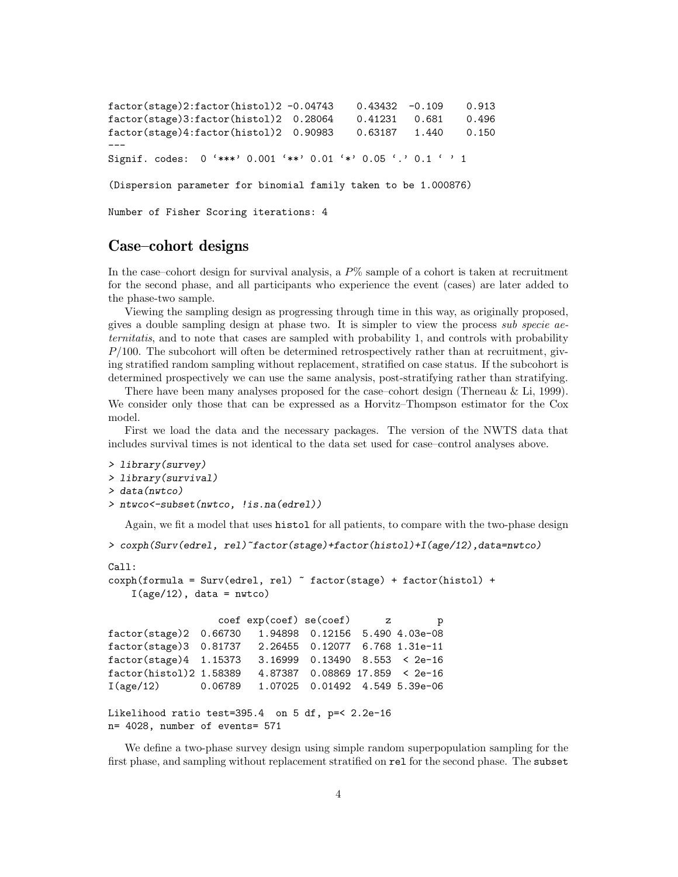factor(stage)2:factor(histol)2 -0.04743 0.43432 -0.109 0.913 factor(stage)3:factor(histol)2 0.28064 0.41231 0.681 0.496 factor(stage)4:factor(histol)2 0.90983 0.63187 1.440 0.150 --- Signif. codes: 0 '\*\*\*' 0.001 '\*\*' 0.01 '\*' 0.05 '.' 0.1 ' ' 1

(Dispersion parameter for binomial family taken to be 1.000876)

Number of Fisher Scoring iterations: 4

### Case–cohort designs

In the case–cohort design for survival analysis, a  $P\%$  sample of a cohort is taken at recruitment for the second phase, and all participants who experience the event (cases) are later added to the phase-two sample.

Viewing the sampling design as progressing through time in this way, as originally proposed, gives a double sampling design at phase two. It is simpler to view the process sub specie aeternitatis, and to note that cases are sampled with probability 1, and controls with probability  $P/100$ . The subcohort will often be determined retrospectively rather than at recruitment, giving stratified random sampling without replacement, stratified on case status. If the subcohort is determined prospectively we can use the same analysis, post-stratifying rather than stratifying.

There have been many analyses proposed for the case–cohort design (Therneau & Li, 1999). We consider only those that can be expressed as a Horvitz–Thompson estimator for the Cox model.

First we load the data and the necessary packages. The version of the NWTS data that includes survival times is not identical to the data set used for case–control analyses above.

```
> library(survey)
> library(survival)
> data(nwtco)
> ntwco<-subset(nwtco, !is.na(edrel))
```
Again, we fit a model that uses histol for all patients, to compare with the two-phase design

```
> coxph(Surv(edrel, rel)~factor(stage)+factor(histol)+I(age/12),data=nwtco)
```

```
Call:
coxph(formula = Surv(edrel, rel) ~ factor(stage) + factor(histol) +
   I(age/12), data = nwtco)
                 coef exp(coef) se(coef) z p
factor(stage)2 0.66730 1.94898 0.12156 5.490 4.03e-08
factor(stage)3 0.81737 2.26455 0.12077 6.768 1.31e-11
factor(stage)4 1.15373 3.16999 0.13490 8.553 < 2e-16
factor(histol)2 1.58389 4.87387 0.08869 17.859 < 2e-16
I(age/12) 0.06789 1.07025 0.01492 4.549 5.39e-06
Likelihood ratio test=395.4 on 5 df, p=< 2.2e-16
n= 4028, number of events= 571
```
We define a two-phase survey design using simple random superpopulation sampling for the first phase, and sampling without replacement stratified on rel for the second phase. The subset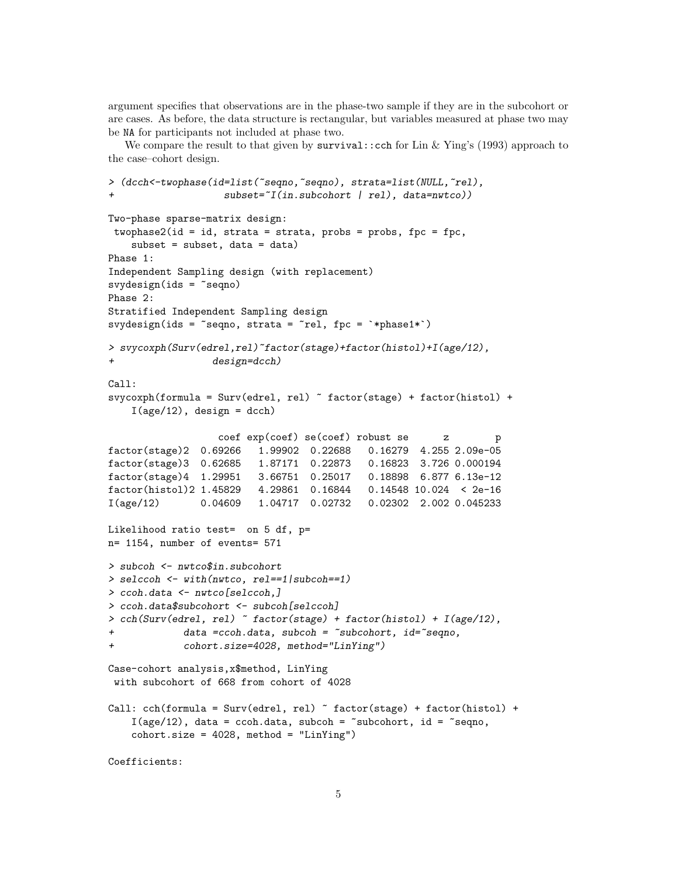argument specifies that observations are in the phase-two sample if they are in the subcohort or are cases. As before, the data structure is rectangular, but variables measured at phase two may be NA for participants not included at phase two.

We compare the result to that given by  $survival$ : cch for Lin & Ying's (1993) approach to the case–cohort design.

```
> (dcch<-twophase(id=list(~seqno,~seqno), strata=list(NULL,~rel),
                    subset="I(in.subcohort | rel), data=nwtco))Two-phase sparse-matrix design:
 twophase2(id = id, strata = strata, probes = probes, fpc = fpc,subset = subset, data = data)Phase 1:
Independent Sampling design (with replacement)
svydesign(ids = \text{seqno})
Phase 2:
Stratified Independent Sampling design
svydesign(ids = "seqno, strata = "rel, fpc = "*phase1*)> svycoxph(Surv(edrel,rel)~factor(stage)+factor(histol)+I(age/12),
                  design=dcch)C<sub>a11</sub>:
svycoxph(formula = Surv(edrel, rel) \tilde{ } factor(stage) + factor(histol) +
    I(age/12), design = dcch)
                   coef exp(coef) se(coef) robust se z p
factor(stage)2 0.69266 1.99902 0.22688 0.16279 4.255 2.09e-05
factor(stage)3 0.62685 1.87171 0.22873 0.16823 3.726 0.000194
factor(stage)4 1.29951 3.66751 0.25017 0.18898 6.877 6.13e-12
factor(histol)2 1.45829 4.29861 0.16844 0.14548 10.024 < 2e-16
I(age/12) 0.04609 1.04717 0.02732 0.02302 2.002 0.045233
Likelihood ratio test= on 5 df, p=
n= 1154, number of events= 571
> subcoh <- nwtco$in.subcohort
> selccoh <- with(nwtco, rel==1|subcoh==1)
> ccoh.data <- nwtco[selccoh,]
> ccoh.data$subcohort <- subcoh[selccoh]
> cch(Surv(edrel, rel) ~ factor(stage) + factor(histol) + I(age/12),
+ data =ccoh.data, subcoh = ~subcohort, id=~seqno,
+ cohort.size=4028, method="LinYing")
Case-cohort analysis,x$method, LinYing
 with subcohort of 668 from cohort of 4028
Call: cch(formula = Survey (edrel, rel) \sim factor(stage) + factor(histol) +
    I(age/12), data = ccoh.data, subcoh = ~subcohort, id = ~seqno,
    \text{cohort.size} = 4028, \text{ method} = \text{"LinYing"}Coefficients:
```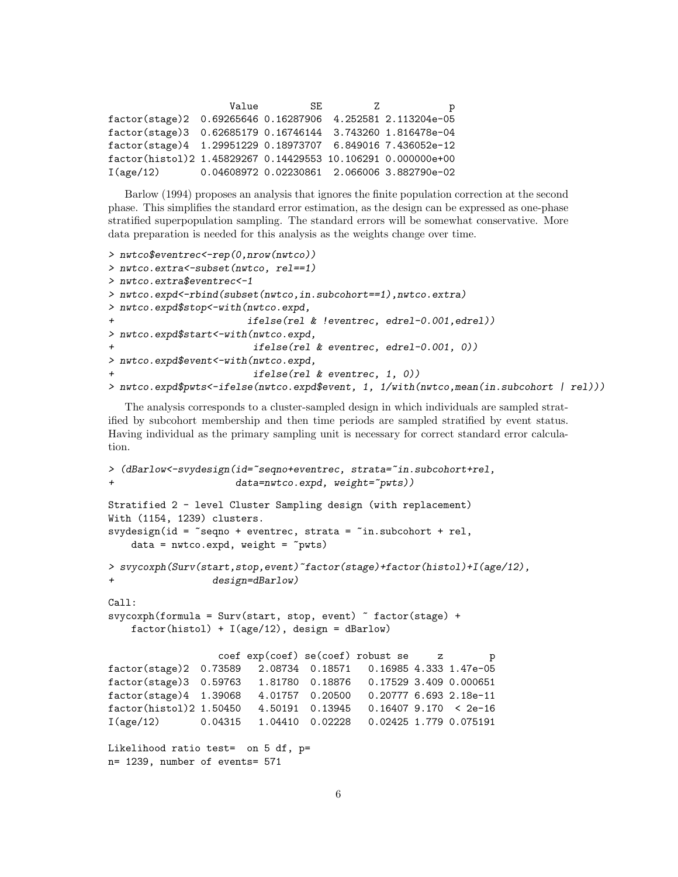|                                                                | Value | SE. | 7. | р                                           |
|----------------------------------------------------------------|-------|-----|----|---------------------------------------------|
| factor(stage)2 0.69265646 0.16287906 4.252581 2.113204e-05     |       |     |    |                                             |
| factor(stage)3  0.62685179  0.16746144  3.743260  1.816478e-04 |       |     |    |                                             |
| factor(stage)4 1.29951229 0.18973707 6.849016 7.436052e-12     |       |     |    |                                             |
| factor(histol)2 1.45829267 0.14429553 10.106291 0.000000e+00   |       |     |    |                                             |
| I(age/12)                                                      |       |     |    | 0.04608972 0.02230861 2.066006 3.882790e-02 |

Barlow (1994) proposes an analysis that ignores the finite population correction at the second phase. This simplifies the standard error estimation, as the design can be expressed as one-phase stratified superpopulation sampling. The standard errors will be somewhat conservative. More data preparation is needed for this analysis as the weights change over time.

```
> nwtco$eventrec<-rep(0,nrow(nwtco))
> nwtco.extra<-subset(nwtco, rel==1)
> nwtco.extra$eventrec<-1
> nwtco.expd<-rbind(subset(nwtco,in.subcohort==1),nwtco.extra)
> nwtco.expd$stop<-with(nwtco.expd,
                        ifelse(rel & !eventrec, edrel-0.001,edrel))
> nwtco.expd$start<-with(nwtco.expd,
                         ifelse(re1 & eventrec, edrel-0.001, 0))> nwtco.expd$event<-with(nwtco.expd,
                         ifelse(re1 & eventrec, 1, 0))> nwtco.expd$pwts<-ifelse(nwtco.expd$event, 1, 1/with(nwtco,mean(in.subcohort | rel)))
```
The analysis corresponds to a cluster-sampled design in which individuals are sampled stratified by subcohort membership and then time periods are sampled stratified by event status. Having individual as the primary sampling unit is necessary for correct standard error calculation.

```
> (dBarlow <- svydesign(id="seqno+eventrec, strata="in.subcohort+rel,
                     data=nwtco.expd, weight=\text{``pwts)})
Stratified 2 - level Cluster Sampling design (with replacement)
With (1154, 1239) clusters.
svydesign(id = ~seqno + eventrec, strata = ~in.subcohort + rel,
    data = nwtco.expd, weight = \gamma pwts)> svycoxph(Surv(start,stop,event)~factor(stage)+factor(histol)+I(age/12),
+ design=dBarlow)
Call:
svycoxph(formula = Surv(start, stop, event) ~ factor(stage) +
    factor(histol) + I(age/12), design = dBarlow)
                  coef exp(coef) se(coef) robust se z p
factor(stage)2 0.73589 2.08734 0.18571 0.16985 4.333 1.47e-05
factor(stage)3 0.59763 1.81780 0.18876 0.17529 3.409 0.000651
factor(stage)4 1.39068 4.01757 0.20500 0.20777 6.693 2.18e-11
factor(histol)2 1.50450 4.50191 0.13945 0.16407 9.170 < 2e-16
I(age/12) 0.04315 1.04410 0.02228 0.02425 1.779 0.075191
Likelihood ratio test= on 5 df, p=
n= 1239, number of events= 571
```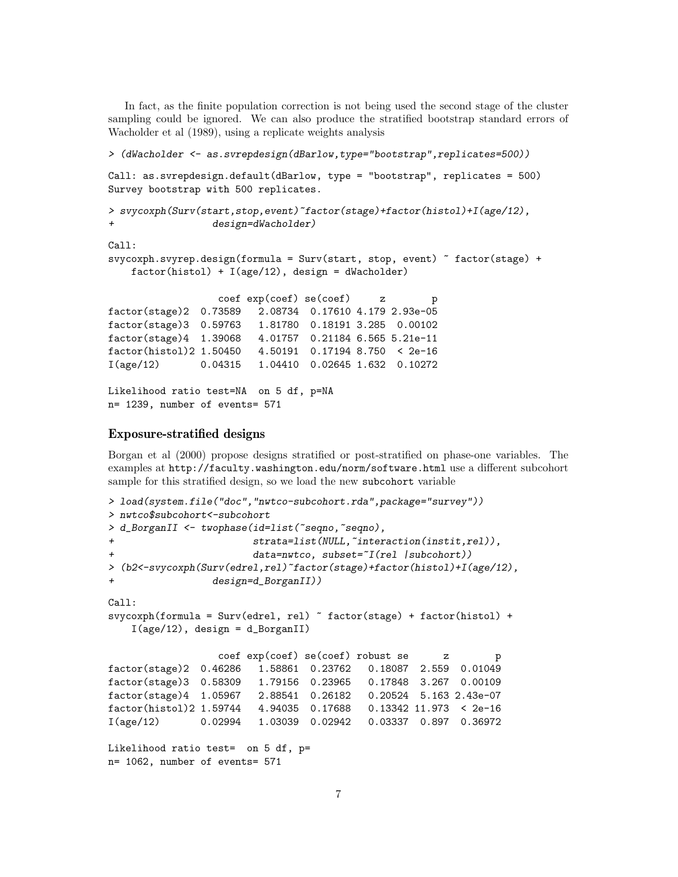In fact, as the finite population correction is not being used the second stage of the cluster sampling could be ignored. We can also produce the stratified bootstrap standard errors of Wacholder et al (1989), using a replicate weights analysis

```
> (dWacholder <- as.svrepdesign(dBarlow,type="bootstrap",replicates=500))
Call: as.svrepdesign.default(dBarlow, type = "bootstrap", replicates = 500)
Survey bootstrap with 500 replicates.
> svycoxph(Surv(start,stop,event)~factor(stage)+factor(histol)+I(age/12),
                 design=dWacholder)
Call:
svycoxph.svyrep.design(formula = Surv(start, stop, event) ~ factor(stage) +
    factor(histol) + I(age/12), design = dWacholder)
                  coef exp(coef) se(coef) z p
factor(stage)2 0.73589 2.08734 0.17610 4.179 2.93e-05
factor(stage)3 0.59763 1.81780 0.18191 3.285 0.00102
factor(stage)4 1.39068 4.01757 0.21184 6.565 5.21e-11
factor(histol)2 1.50450 4.50191 0.17194 8.750 < 2e-16
I(age/12) 0.04315 1.04410 0.02645 1.632 0.10272
Likelihood ratio test=NA on 5 df, p=NA
n= 1239, number of events= 571
```
#### Exposure-stratified designs

Borgan et al (2000) propose designs stratified or post-stratified on phase-one variables. The examples at http://faculty.washington.edu/norm/software.html use a different subcohort sample for this stratified design, so we load the new subcohort variable

```
> load(system.file("doc","nwtco-subcohort.rda",package="survey"))
> nwtco$subcohort<-subcohort
> d_BorganII <- twophase(id=list(~seqno,~seqno),
+ strata=list(NULL,~interaction(instit,rel)),
                       data=nwtco, subset=\tilde{I}(rel |subcohort))
> (b2<-svycoxph(Surv(edrel,rel)~factor(stage)+factor(histol)+I(age/12),
                 design=d_BorganII))
Call:
svycoxph(formula = Surv(edrel, rel) \tilde{ } factor(stage) + factor(histol) +
    I(age/12), design = d_BorganII)
                  coef exp(coef) se(coef) robust se z p
factor(stage)2 0.46286 1.58861 0.23762 0.18087 2.559 0.01049
factor(stage)3 0.58309 1.79156 0.23965 0.17848 3.267 0.00109
factor(stage)4 1.05967 2.88541 0.26182 0.20524 5.163 2.43e-07
factor(histol)2 1.59744 4.94035 0.17688 0.13342 11.973 < 2e-16
I(age/12) 0.02994 1.03039 0.02942 0.03337 0.897 0.36972
Likelihood ratio test= on 5 df, p=
n= 1062, number of events= 571
```